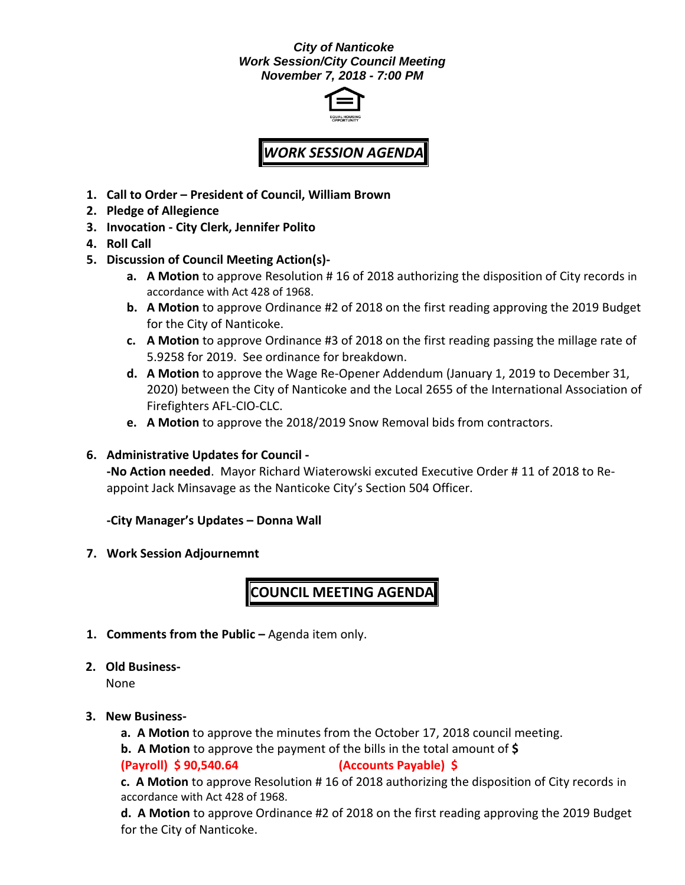#### *City of Nanticoke Work Session/City Council Meeting November 7, 2018 - 7:00 PM*



# *WORK SESSION AGENDA*

- **1. Call to Order – President of Council, William Brown**
- **2. Pledge of Allegience**
- **3. Invocation - City Clerk, Jennifer Polito**
- **4. Roll Call**
- **5. Discussion of Council Meeting Action(s)**
	- **a. A Motion** to approve Resolution # 16 of 2018 authorizing the disposition of City records in accordance with Act 428 of 1968.
	- **b. A Motion** to approve Ordinance #2 of 2018 on the first reading approving the 2019 Budget for the City of Nanticoke.
	- **c. A Motion** to approve Ordinance #3 of 2018 on the first reading passing the millage rate of 5.9258 for 2019. See ordinance for breakdown.
	- **d. A Motion** to approve the Wage Re-Opener Addendum (January 1, 2019 to December 31, 2020) between the City of Nanticoke and the Local 2655 of the International Association of Firefighters AFL-CIO-CLC.
	- **e. A Motion** to approve the 2018/2019 Snow Removal bids from contractors.

#### **6. Administrative Updates for Council -**

**-No Action needed**. Mayor Richard Wiaterowski excuted Executive Order # 11 of 2018 to Reappoint Jack Minsavage as the Nanticoke City's Section 504 Officer.

#### **-City Manager's Updates – Donna Wall**

**7. Work Session Adjournemnt**

## **COUNCIL MEETING AGENDA**

- **1. Comments from the Public –** Agenda item only.
- **2. Old Business-**

None

- **3. New Business**
	- **a. A Motion** to approve the minutes from the October 17, 2018 council meeting.
	- **b. A Motion** to approve the payment of the bills in the total amount of **\$**

#### **(Payroll) \$ 90,540.64 (Accounts Payable) \$**

**c. A Motion** to approve Resolution # 16 of 2018 authorizing the disposition of City records in accordance with Act 428 of 1968.

**d. A Motion** to approve Ordinance #2 of 2018 on the first reading approving the 2019 Budget for the City of Nanticoke.